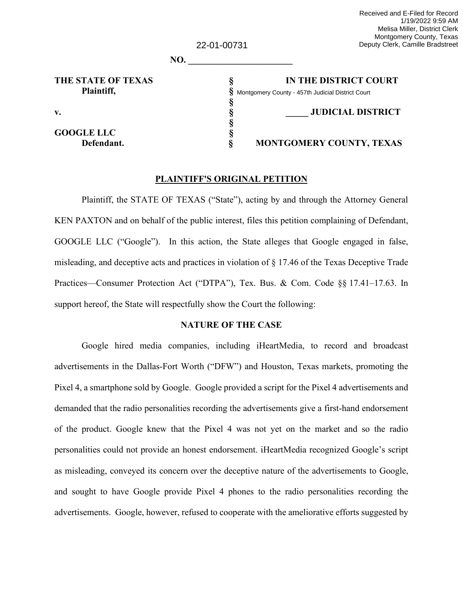|                    | 22-01-00731 | Melisa Miller, District Clerk<br>Montgomery County, Texas<br>Deputy Clerk, Camille Bradstreet |
|--------------------|-------------|-----------------------------------------------------------------------------------------------|
|                    | NO.         |                                                                                               |
| THE STATE OF TEXAS |             | IN THE DISTRICT COURT                                                                         |
| Plaintiff,         |             | Montgomery County - 457th Judicial District Court                                             |
| $\mathbf{v}$ .     |             | <b>JUDICIAL DISTRICT</b>                                                                      |
| <b>GOOGLE LLC</b>  |             |                                                                                               |
| Defendant.         |             | <b>MONTGOMERY COUNTY, TEXAS</b>                                                               |
|                    |             |                                                                                               |

Received and E-Filed for Record

1/19/2022 9:59 AM

#### **PLAINTIFF'S ORIGINAL PETITION**

Plaintiff, the STATE OF TEXAS ("State"), acting by and through the Attorney General KEN PAXTON and on behalf of the public interest, files this petition complaining of Defendant, GOOGLE LLC ("Google"). In this action, the State alleges that Google engaged in false, misleading, and deceptive acts and practices in violation of § 17.46 of the Texas Deceptive Trade Practices—Consumer Protection Act ("DTPA"), Tex. Bus. & Com. Code §§ 17.41–17.63. In support hereof, the State will respectfully show the Court the following:

### **NATURE OF THE CASE**

Google hired media companies, including iHeartMedia, to record and broadcast advertisements in the Dallas-Fort Worth ("DFW") and Houston, Texas markets, promoting the Pixel 4, a smartphone sold by Google. Google provided a script for the Pixel 4 advertisements and demanded that the radio personalities recording the advertisements give a first-hand endorsement of the product. Google knew that the Pixel 4 was not yet on the market and so the radio personalities could not provide an honest endorsement. iHeartMedia recognized Google's script as misleading, conveyed its concern over the deceptive nature of the advertisements to Google, and sought to have Google provide Pixel 4 phones to the radio personalities recording the advertisements. Google, however, refused to cooperate with the ameliorative efforts suggested by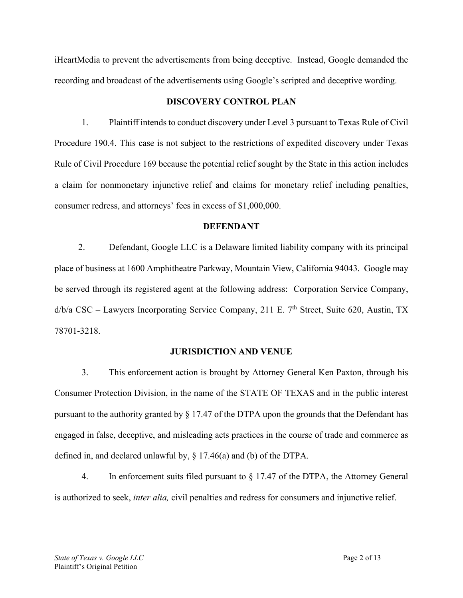iHeartMedia to prevent the advertisements from being deceptive. Instead, Google demanded the recording and broadcast of the advertisements using Google's scripted and deceptive wording.

### **DISCOVERY CONTROL PLAN**

1. Plaintiff intends to conduct discovery under Level 3 pursuant to Texas Rule of Civil Procedure 190.4. This case is not subject to the restrictions of expedited discovery under Texas Rule of Civil Procedure 169 because the potential relief sought by the State in this action includes a claim for nonmonetary injunctive relief and claims for monetary relief including penalties, consumer redress, and attorneys' fees in excess of \$1,000,000.

#### **DEFENDANT**

2. Defendant, Google LLC is a Delaware limited liability company with its principal place of business at 1600 Amphitheatre Parkway, Mountain View, California 94043. Google may be served through its registered agent at the following address: Corporation Service Company,  $d/b/a \, \text{CSC} - \text{Lawvers Incorporating Service Company}, 211 \, \text{E}$ . 7<sup>th</sup> Street, Suite 620, Austin, TX 78701-3218.

#### **JURISDICTION AND VENUE**

3. This enforcement action is brought by Attorney General Ken Paxton, through his Consumer Protection Division, in the name of the STATE OF TEXAS and in the public interest pursuant to the authority granted by § 17.47 of the DTPA upon the grounds that the Defendant has engaged in false, deceptive, and misleading acts practices in the course of trade and commerce as defined in, and declared unlawful by, § 17.46(a) and (b) of the DTPA.

4. In enforcement suits filed pursuant to  $\S 17.47$  of the DTPA, the Attorney General is authorized to seek, *inter alia,* civil penalties and redress for consumers and injunctive relief.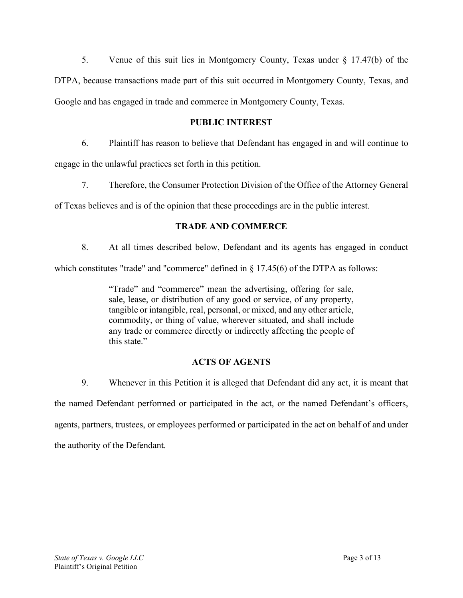5. Venue of this suit lies in Montgomery County, Texas under § 17.47(b) of the DTPA, because transactions made part of this suit occurred in Montgomery County, Texas, and Google and has engaged in trade and commerce in Montgomery County, Texas.

## **PUBLIC INTEREST**

6. Plaintiff has reason to believe that Defendant has engaged in and will continue to

engage in the unlawful practices set forth in this petition.

7. Therefore, the Consumer Protection Division of the Office of the Attorney General

of Texas believes and is of the opinion that these proceedings are in the public interest.

# **TRADE AND COMMERCE**

8. At all times described below, Defendant and its agents has engaged in conduct

which constitutes "trade" and "commerce" defined in  $\S 17.45(6)$  of the DTPA as follows:

"Trade" and "commerce" mean the advertising, offering for sale, sale, lease, or distribution of any good or service, of any property, tangible or intangible, real, personal, or mixed, and any other article, commodity, or thing of value, wherever situated, and shall include any trade or commerce directly or indirectly affecting the people of this state."

# **ACTS OF AGENTS**

9. Whenever in this Petition it is alleged that Defendant did any act, it is meant that the named Defendant performed or participated in the act, or the named Defendant's officers, agents, partners, trustees, or employees performed or participated in the act on behalf of and under the authority of the Defendant.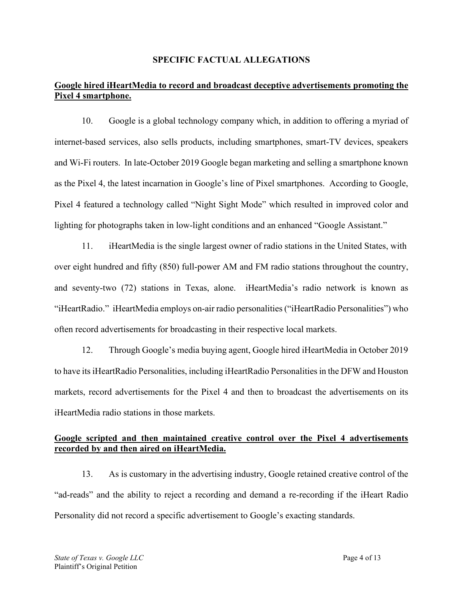### **SPECIFIC FACTUAL ALLEGATIONS**

# **Google hired iHeartMedia to record and broadcast deceptive advertisements promoting the Pixel 4 smartphone.**

10. Google is a global technology company which, in addition to offering a myriad of internet-based services, also sells products, including smartphones, smart-TV devices, speakers and Wi-Fi routers. In late-October 2019 Google began marketing and selling a smartphone known as the Pixel 4, the latest incarnation in Google's line of Pixel smartphones. According to Google, Pixel 4 featured a technology called "Night Sight Mode" which resulted in improved color and lighting for photographs taken in low-light conditions and an enhanced "Google Assistant."

11. iHeartMedia is the single largest owner of radio stations in the United States, with over eight hundred and fifty (850) full-power AM and FM radio stations throughout the country, and seventy-two (72) stations in Texas, alone. iHeartMedia's radio network is known as "iHeartRadio." iHeartMedia employs on-air radio personalities ("iHeartRadio Personalities") who often record advertisements for broadcasting in their respective local markets.

12. Through Google's media buying agent, Google hired iHeartMedia in October 2019 to have its iHeartRadio Personalities, including iHeartRadio Personalities in the DFW and Houston markets, record advertisements for the Pixel 4 and then to broadcast the advertisements on its iHeartMedia radio stations in those markets.

## **Google scripted and then maintained creative control over the Pixel 4 advertisements recorded by and then aired on iHeartMedia.**

13. As is customary in the advertising industry, Google retained creative control of the "ad-reads" and the ability to reject a recording and demand a re-recording if the iHeart Radio Personality did not record a specific advertisement to Google's exacting standards.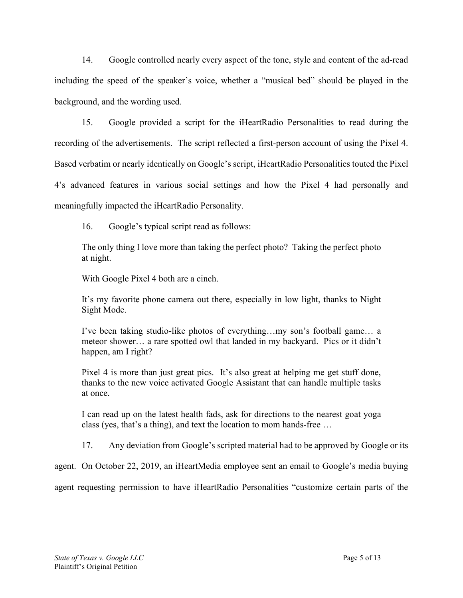14. Google controlled nearly every aspect of the tone, style and content of the ad-read including the speed of the speaker's voice, whether a "musical bed" should be played in the background, and the wording used.

15. Google provided a script for the iHeartRadio Personalities to read during the recording of the advertisements. The script reflected a first-person account of using the Pixel 4. Based verbatim or nearly identically on Google's script, iHeartRadio Personalities touted the Pixel 4's advanced features in various social settings and how the Pixel 4 had personally and meaningfully impacted the iHeartRadio Personality.

16. Google's typical script read as follows:

The only thing I love more than taking the perfect photo? Taking the perfect photo at night.

With Google Pixel 4 both are a cinch.

It's my favorite phone camera out there, especially in low light, thanks to Night Sight Mode.

I've been taking studio-like photos of everything…my son's football game… a meteor shower… a rare spotted owl that landed in my backyard. Pics or it didn't happen, am I right?

Pixel 4 is more than just great pics. It's also great at helping me get stuff done, thanks to the new voice activated Google Assistant that can handle multiple tasks at once.

I can read up on the latest health fads, ask for directions to the nearest goat yoga class (yes, that's a thing), and text the location to mom hands-free …

17. Any deviation from Google's scripted material had to be approved by Google or its

agent. On October 22, 2019, an iHeartMedia employee sent an email to Google's media buying

agent requesting permission to have iHeartRadio Personalities "customize certain parts of the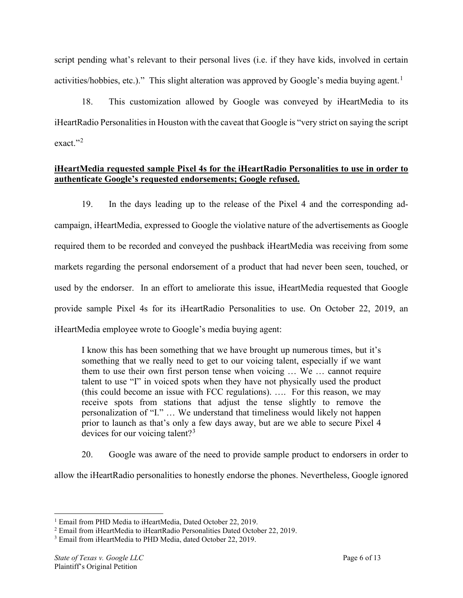script pending what's relevant to their personal lives (i.e. if they have kids, involved in certain activities/hobbies, etc.)." This slight alteration was approved by Google's media buying agent.<sup>[1](#page-5-0)</sup>

18. This customization allowed by Google was conveyed by iHeartMedia to its iHeartRadio Personalities in Houston with the caveat that Google is "very strict on saying the script exact."<sup>[2](#page-5-1)</sup>

## **iHeartMedia requested sample Pixel 4s for the iHeartRadio Personalities to use in order to authenticate Google's requested endorsements; Google refused.**

19. In the days leading up to the release of the Pixel 4 and the corresponding adcampaign, iHeartMedia, expressed to Google the violative nature of the advertisements as Google required them to be recorded and conveyed the pushback iHeartMedia was receiving from some markets regarding the personal endorsement of a product that had never been seen, touched, or used by the endorser. In an effort to ameliorate this issue, iHeartMedia requested that Google provide sample Pixel 4s for its iHeartRadio Personalities to use. On October 22, 2019, an iHeartMedia employee wrote to Google's media buying agent:

I know this has been something that we have brought up numerous times, but it's something that we really need to get to our voicing talent, especially if we want them to use their own first person tense when voicing … We … cannot require talent to use "I" in voiced spots when they have not physically used the product (this could become an issue with FCC regulations). …. For this reason, we may receive spots from stations that adjust the tense slightly to remove the personalization of "I." … We understand that timeliness would likely not happen prior to launch as that's only a few days away, but are we able to secure Pixel 4 devices for our voicing talent?<sup>[3](#page-5-2)</sup>

20. Google was aware of the need to provide sample product to endorsers in order to allow the iHeartRadio personalities to honestly endorse the phones. Nevertheless, Google ignored

<span id="page-5-0"></span><sup>&</sup>lt;sup>1</sup> Email from PHD Media to iHeartMedia, Dated October 22, 2019.

<span id="page-5-1"></span><sup>2</sup> Email from iHeartMedia to iHeartRadio Personalities Dated October 22, 2019.

<span id="page-5-2"></span><sup>&</sup>lt;sup>3</sup> Email from iHeartMedia to PHD Media, dated October 22, 2019.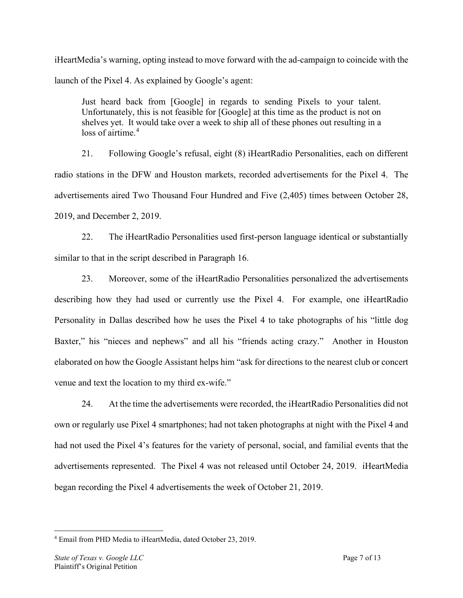iHeartMedia's warning, opting instead to move forward with the ad-campaign to coincide with the launch of the Pixel 4. As explained by Google's agent:

Just heard back from [Google] in regards to sending Pixels to your talent. Unfortunately, this is not feasible for [Google] at this time as the product is not on shelves yet. It would take over a week to ship all of these phones out resulting in a loss of airtime.<sup>[4](#page-6-0)</sup>

21. Following Google's refusal, eight (8) iHeartRadio Personalities, each on different radio stations in the DFW and Houston markets, recorded advertisements for the Pixel 4. The advertisements aired Two Thousand Four Hundred and Five (2,405) times between October 28, 2019, and December 2, 2019.

22. The iHeartRadio Personalities used first-person language identical or substantially similar to that in the script described in Paragraph 16.

23. Moreover, some of the iHeartRadio Personalities personalized the advertisements describing how they had used or currently use the Pixel 4. For example, one iHeartRadio Personality in Dallas described how he uses the Pixel 4 to take photographs of his "little dog Baxter," his "nieces and nephews" and all his "friends acting crazy." Another in Houston elaborated on how the Google Assistant helps him "ask for directions to the nearest club or concert venue and text the location to my third ex-wife."

24. At the time the advertisements were recorded, the iHeartRadio Personalities did not own or regularly use Pixel 4 smartphones; had not taken photographs at night with the Pixel 4 and had not used the Pixel 4's features for the variety of personal, social, and familial events that the advertisements represented. The Pixel 4 was not released until October 24, 2019. iHeartMedia began recording the Pixel 4 advertisements the week of October 21, 2019.

<span id="page-6-0"></span><sup>4</sup> Email from PHD Media to iHeartMedia, dated October 23, 2019.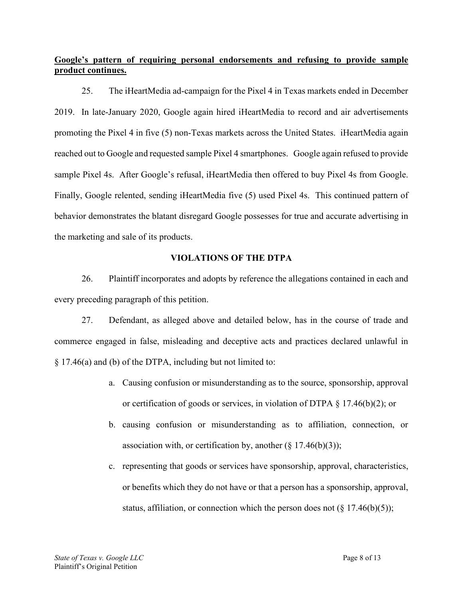# **Google's pattern of requiring personal endorsements and refusing to provide sample product continues.**

25. The iHeartMedia ad-campaign for the Pixel 4 in Texas markets ended in December 2019. In late-January 2020, Google again hired iHeartMedia to record and air advertisements promoting the Pixel 4 in five (5) non-Texas markets across the United States. iHeartMedia again reached out to Google and requested sample Pixel 4 smartphones. Google again refused to provide sample Pixel 4s. After Google's refusal, iHeartMedia then offered to buy Pixel 4s from Google. Finally, Google relented, sending iHeartMedia five (5) used Pixel 4s. This continued pattern of behavior demonstrates the blatant disregard Google possesses for true and accurate advertising in the marketing and sale of its products.

### **VIOLATIONS OF THE DTPA**

26. Plaintiff incorporates and adopts by reference the allegations contained in each and every preceding paragraph of this petition.

27. Defendant, as alleged above and detailed below, has in the course of trade and commerce engaged in false, misleading and deceptive acts and practices declared unlawful in § 17.46(a) and (b) of the DTPA, including but not limited to:

- a. Causing confusion or misunderstanding as to the source, sponsorship, approval or certification of goods or services, in violation of DTPA § 17.46(b)(2); or
- b. causing confusion or misunderstanding as to affiliation, connection, or association with, or certification by, another  $(\S 17.46(b)(3))$ ;
- c. representing that goods or services have sponsorship, approval, characteristics, or benefits which they do not have or that a person has a sponsorship, approval, status, affiliation, or connection which the person does not  $(\S 17.46(b)(5))$ ;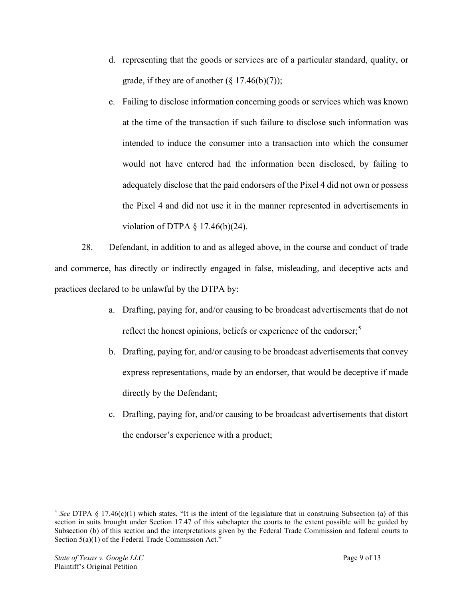- d. representing that the goods or services are of a particular standard, quality, or grade, if they are of another  $(\S 17.46(b)(7))$ ;
- e. Failing to disclose information concerning goods or services which was known at the time of the transaction if such failure to disclose such information was intended to induce the consumer into a transaction into which the consumer would not have entered had the information been disclosed, by failing to adequately disclose that the paid endorsers of the Pixel 4 did not own or possess the Pixel 4 and did not use it in the manner represented in advertisements in violation of DTPA § 17.46(b)(24).

28. Defendant, in addition to and as alleged above, in the course and conduct of trade and commerce, has directly or indirectly engaged in false, misleading, and deceptive acts and practices declared to be unlawful by the DTPA by:

- a. Drafting, paying for, and/or causing to be broadcast advertisements that do not reflect the honest opinions, beliefs or experience of the endorser;<sup>[5](#page-8-0)</sup>
- b. Drafting, paying for, and/or causing to be broadcast advertisements that convey express representations, made by an endorser, that would be deceptive if made directly by the Defendant;
- c. Drafting, paying for, and/or causing to be broadcast advertisements that distort the endorser's experience with a product;

<span id="page-8-0"></span><sup>&</sup>lt;sup>5</sup> See DTPA § 17.46(c)(1) which states, "It is the intent of the legislature that in construing Subsection (a) of this section in suits brought under Section 17.47 of this subchapter the courts to the extent possible will be guided by Subsection (b) of this section and the interpretations given by the Federal Trade Commission and federal courts to Section 5(a)(1) of the Federal Trade Commission Act."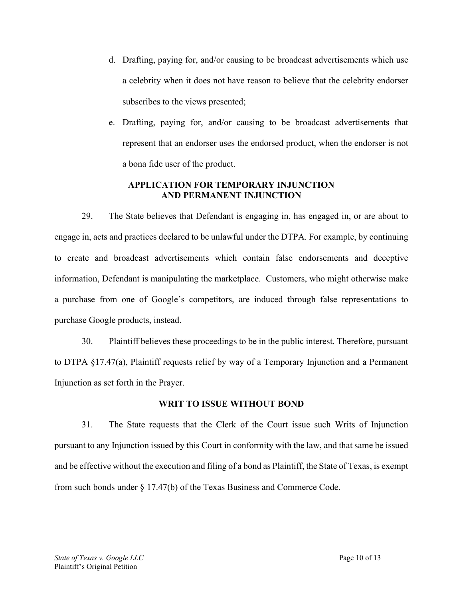- d. Drafting, paying for, and/or causing to be broadcast advertisements which use a celebrity when it does not have reason to believe that the celebrity endorser subscribes to the views presented;
- e. Drafting, paying for, and/or causing to be broadcast advertisements that represent that an endorser uses the endorsed product, when the endorser is not a bona fide user of the product.

## **APPLICATION FOR TEMPORARY INJUNCTION AND PERMANENT INJUNCTION**

29. The State believes that Defendant is engaging in, has engaged in, or are about to engage in, acts and practices declared to be unlawful under the DTPA. For example, by continuing to create and broadcast advertisements which contain false endorsements and deceptive information, Defendant is manipulating the marketplace. Customers, who might otherwise make a purchase from one of Google's competitors, are induced through false representations to purchase Google products, instead.

30. Plaintiff believes these proceedings to be in the public interest. Therefore, pursuant to DTPA §17.47(a), Plaintiff requests relief by way of a Temporary Injunction and a Permanent Injunction as set forth in the Prayer.

# **WRIT TO ISSUE WITHOUT BOND**

31. The State requests that the Clerk of the Court issue such Writs of Injunction pursuant to any Injunction issued by this Court in conformity with the law, and that same be issued and be effective without the execution and filing of a bond as Plaintiff, the State of Texas, is exempt from such bonds under § 17.47(b) of the Texas Business and Commerce Code.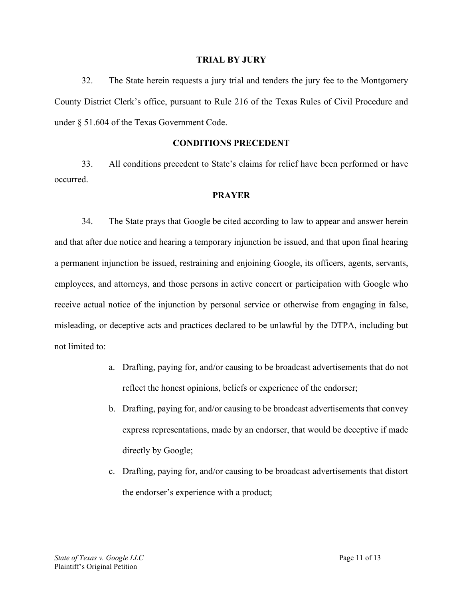#### **TRIAL BY JURY**

32. The State herein requests a jury trial and tenders the jury fee to the Montgomery County District Clerk's office, pursuant to Rule 216 of the Texas Rules of Civil Procedure and under § 51.604 of the Texas Government Code.

## **CONDITIONS PRECEDENT**

33. All conditions precedent to State's claims for relief have been performed or have occurred.

### **PRAYER**

34. The State prays that Google be cited according to law to appear and answer herein and that after due notice and hearing a temporary injunction be issued, and that upon final hearing a permanent injunction be issued, restraining and enjoining Google, its officers, agents, servants, employees, and attorneys, and those persons in active concert or participation with Google who receive actual notice of the injunction by personal service or otherwise from engaging in false, misleading, or deceptive acts and practices declared to be unlawful by the DTPA, including but not limited to:

- a. Drafting, paying for, and/or causing to be broadcast advertisements that do not reflect the honest opinions, beliefs or experience of the endorser;
- b. Drafting, paying for, and/or causing to be broadcast advertisements that convey express representations, made by an endorser, that would be deceptive if made directly by Google;
- c. Drafting, paying for, and/or causing to be broadcast advertisements that distort the endorser's experience with a product;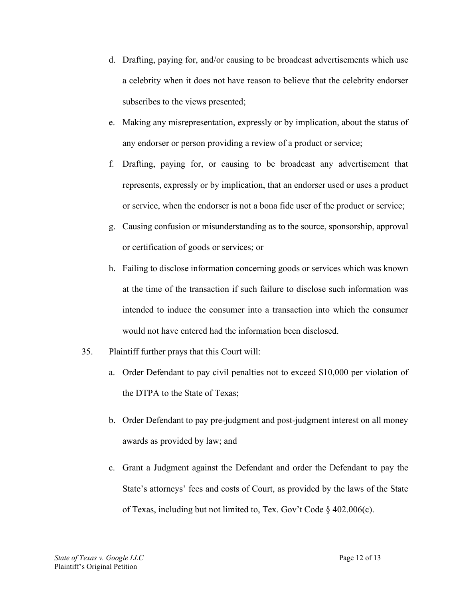- d. Drafting, paying for, and/or causing to be broadcast advertisements which use a celebrity when it does not have reason to believe that the celebrity endorser subscribes to the views presented;
- e. Making any misrepresentation, expressly or by implication, about the status of any endorser or person providing a review of a product or service;
- f. Drafting, paying for, or causing to be broadcast any advertisement that represents, expressly or by implication, that an endorser used or uses a product or service, when the endorser is not a bona fide user of the product or service;
- g. Causing confusion or misunderstanding as to the source, sponsorship, approval or certification of goods or services; or
- h. Failing to disclose information concerning goods or services which was known at the time of the transaction if such failure to disclose such information was intended to induce the consumer into a transaction into which the consumer would not have entered had the information been disclosed.
- 35. Plaintiff further prays that this Court will:
	- a. Order Defendant to pay civil penalties not to exceed \$10,000 per violation of the DTPA to the State of Texas;
	- b. Order Defendant to pay pre-judgment and post-judgment interest on all money awards as provided by law; and
	- c. Grant a Judgment against the Defendant and order the Defendant to pay the State's attorneys' fees and costs of Court, as provided by the laws of the State of Texas, including but not limited to, Tex. Gov't Code § 402.006(c).